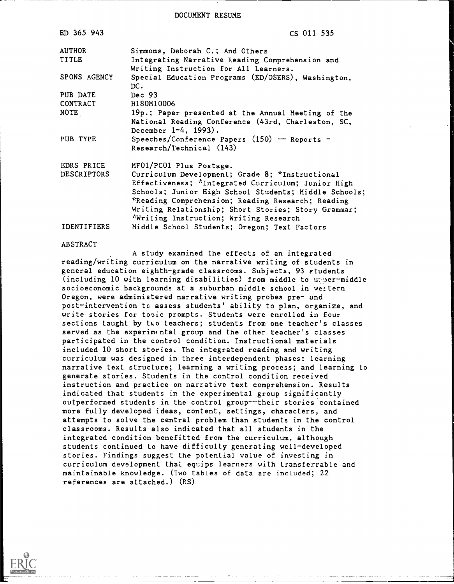DOCUMENT RESUME

| ED 365 943          | CS 011 535                                                                               |
|---------------------|------------------------------------------------------------------------------------------|
| <b>AUTHOR</b>       | Simmons, Deborah C.; And Others                                                          |
| TITLE               | Integrating Narrative Reading Comprehension and<br>Writing Instruction for All Learners. |
| <b>SPONS AGENCY</b> | Special Education Programs (ED/OSERS), Washington,<br>DC.                                |
| PUB DATE            | Dec $93$                                                                                 |
| CONTRACT            | H180M10006                                                                               |
| NOTE                | 19p.; Paper presented at the Annual Meeting of the                                       |
|                     | National Reading Conference (43rd, Charleston, SC,                                       |
|                     | December $1-4$ , 1993).                                                                  |
| PUB TYPE            | Speeches/Conference Papers $(150)$ - Reports -                                           |
|                     | Research/Technical (143)                                                                 |
| EDRS PRICE          | MF01/PC01 Plus Postage.                                                                  |
| <b>DESCRIPTORS</b>  | Curriculum Development; Grade 8; *Instructional                                          |
|                     | Effectiveness; *Integrated Curriculum; Junior High                                       |
|                     | Schools; Junior High School Students; Middle Schools;                                    |
|                     | *Reading Comprehension; Reading Research; Reading                                        |
|                     | Writing Relationship; Short Stories; Story Grammar;                                      |
|                     | *Writing Instruction; Writing Research                                                   |
| <b>IDENTIFIERS</b>  | Middle School Students; Oregon; Text Factors                                             |

#### ABSTRACT

A study examined the effects of an integrated reading/writing curriculum on the narrative writing of students in general education eighth-grade classrooms. Subjects, 93 students (including 10 with learning disabilities) from middle to unper-middle socioeconomic backgrounds at a suburban middle school in wertern Oregon, were administered narrative writing probes pre- and post-intervention tc assess students' ability to plan, organize, and write stories for topic prompts. Students were enrolled in four sections taught by two teachers; students from one teacher's classes served as the experim ntal group and the other teacher's classes participated in the control condition. Instructional materials included 10 short stories. The integrated reading and writing curriculum was designed in three interdependent phases: learning narrative text structure; learning a writing process; and learning to generate stories. Students in the control condition received instruction and practice on narrative text comprehension. Results indicated that students in the experimental group significantly outperformed students in the control group--their stories contained more fully developed ideas, content, settings, characters, and attempts to solve the central problem than students in the control classrooms. Results also indicated that all students in the integrated condition benefitted from the curriculum, although students continued to have difficulty generating well-developed stories. Findings suggest the potential value of investing in curriculum development that equips learners with transferrable and maintainable knowledge. (Two tables of data are included; 22 references are attached.) (RS)

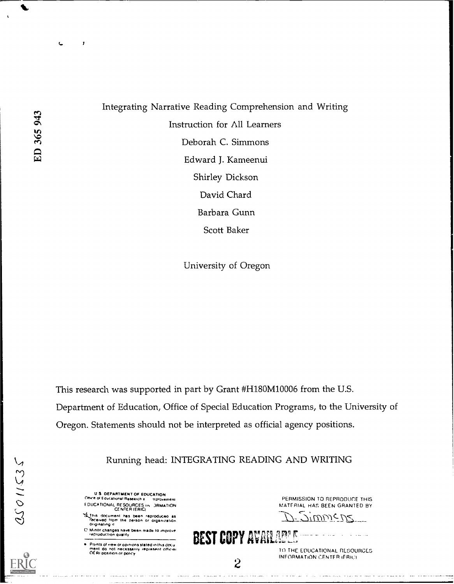$\mathbf{r}$ 

Integrating Narrative Reading Comprehension and Writing Instruction for All Learners Deborah C. Simmons Edward J. Kameenui Shirley Dickson David Chard Barbara Gunn Scott Baker

University of Oregon

This research was supported in part by Grant #H180M10006 from the U.S. Department of Education, Office of Special Education Programs, to the University of Oregon. Statements should not be interpreted as official agency positions.

Running head: INTEGRATING READING AND WRITING

U 5 DEPARTMENT OF EDUCATION Ottrre or Educational Research a -nprovemenr F MICA RONAL RESOURCES . JRMATION CENTER IER1C)

SLThis document has been reproduceo as<br>Teceived from the person or organization<br>Originating it

C. Minor changes have been made to improve.<br>The reproduction quality

Pomts ot vote or op.n.ons stated .n th.S &Ku mem do not necessarily represent nti.r.It . Ill positron on Dohr.,,

PERMISSION TO REPRODUCE THIS MATERIAL HAS BEEN GRANTED BY

 $-$ 7'UUU) $<\nu$ <

BEST COPY AVAILAGES

2 TO THE EDUCATIONAL RESOURCES INFORMATION CENTER (FRIC)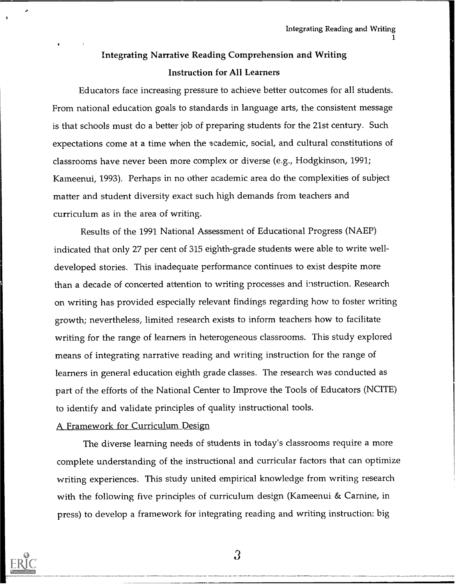1

## Integrating Narrative Reading Comprehension and Writing Instruction for All Learners

Educators face increasing pressure to achieve better outcomes for all students. From national education goals to standards in language arts, the consistent message is that schools must do a better job of preparing students for the 21st century. Such expectations come at a time when the academic, social, and cultural constitutions of classrooms have never been more complex or diverse (e.g., Hodgkinson, 1991; Kameenui, 1993). Perhaps in no other academic area do the complexities of subject matter and student diversity exact such high demands from teachers and curriculum as in the area of writing.

Results of the 1991 National Assessment of Educational Progress (NAEP) indicated that only 27 per cent of 315 eighth-grade students were able to write welldeveloped stories. This inadequate performance continues to exist despite more than a decade of concerted attention to writing processes and instruction. Research on writing has provided especially relevant findings regarding how to foster writing growth; nevertheless, limited research exists to inform teachers how to facilitate writing for the range of learners in heterogeneous classrooms. This study explored means of integrating narrative reading and writing instruction for the range of learners in general education eighth grade classes. The research was conducted as part of the efforts of the National Center to Improve the Tools of Educators (NCITE) to identify and validate principles of quality instructional tools.

#### A Framework for Curriculum Design

The diverse learning needs of students in today's classrooms require a more complete understanding of the instructional and curricular factors that can optimize writing experiences. This study united empirical knowledge from writing research with the following five principles of curriculum design (Kameenui & Carnine, in press) to develop a framework for integrating reading and writing instruction: big

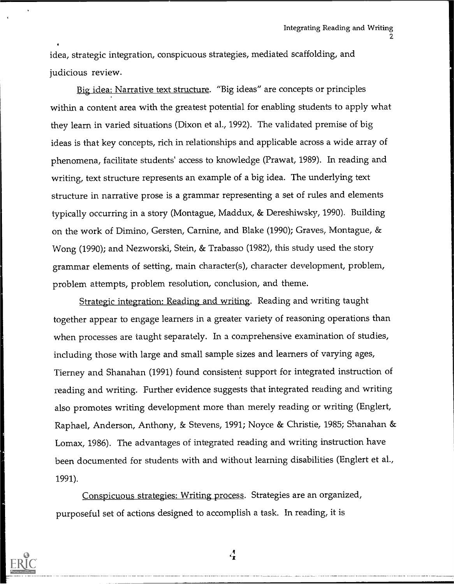idea, strategic integration, conspicuous strategies, mediated scaffolding, and judicious review.

Big idea: Narrative text structure. "Big ideas" are concepts or principles within a content area with the greatest potential for enabling students to apply what they learn in varied situations (Dixon et al., 1992). The validated premise of big ideas is that key concepts, rich in relationships and applicable across a wide array of phenomena, facilitate students' access to knowledge (Prawat, 1989). In reading and writing, text structure represents an example of a big idea. The underlying text structure in narrative prose is a grammar representing a set of rules and elements typically occurring in a story (Montague, Maddux, & Dereshiwsky, 1990). Building on the work of Dimino, Gersten, Carnine, and Blake (1990); Graves, Montague, & Wong (1990); and Nezworski, Stein, & Trabasso (1982), this study used the story grammar elements of setting, main character(s), character development, problem, problem attempts, problem resolution, conclusion, and theme.

Strategic integration: Reading and writing. Reading and writing taught together appear to engage learners in a greater variety of reasoning operations than when processes are taught separately. In a comprehensive examination of studies, including those with large and small sample sizes and learners of varying ages, Tierney and Shanahan (1991) found consistent support for integrated instruction of reading and writing. Further evidence suggests that integrated reading and writing also promotes writing development more than merely reading or writing (Englert, Raphael, Anderson, Anthony, & Stevens, 1991; Noyce & Christie, 1985; Shanahan & Lomax, 1986). The advantages of integrated reading and writing instruction have been documented for students with and without learning disabilities (Englert et al., 1991).

Conspicuous strategies: Writing process. Strategies are an organized, purposeful set of actions designed to accomplish a task. In reading, it is



 $\frac{A}{T}$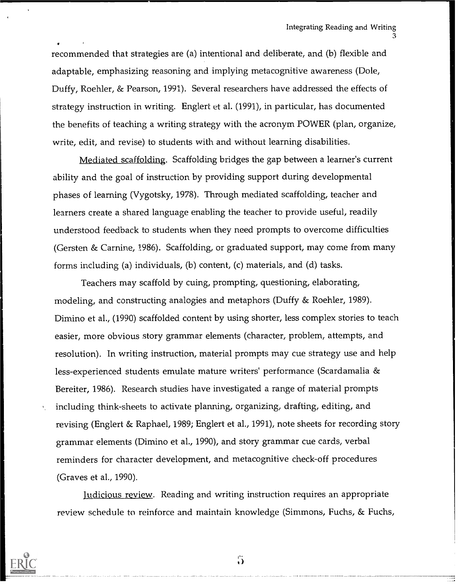recommended that strategies are (a) intentional and deliberate, and (b) flexible and adaptable, emphasizing reasoning and implying metacognitive awareness (Dole, Duffy, Roehler, & Pearson, 1991). Several researchers have addressed the effects of strategy instruction in writing. Englert et al. (1991), in particular, has documented the benefits of teaching a writing strategy with the acronym POWER (plan, organize, write, edit, and revise) to students with and without learning disabilities.

Mediated scaffolding. Scaffolding bridges the gap between a learner's current ability and the goal of instruction by providing support during developmental phases of learning (Vygotsky, 1978). Through mediated scaffolding, teacher and learners create a shared language enabling the teacher to provide useful, readily understood feedback to students when they need prompts to overcome difficulties (Gersten & Carnine, 1986). Scaffolding, or graduated support, may come from many forms including (a) individuals, (b) content, (c) materials, and (d) tasks.

Teachers may scaffold by cuing, prompting, questioning, elaborating, modeling, and constructing analogies and metaphors (Duffy & Roehler, 1989). Dimino et al., (1990) scaffolded content by using shorter, less complex stories to teach easier, more obvious story grammar elements (character, problem, attempts, and resolution). In writing instruction, material prompts may cue strategy use and help less-experienced students emulate mature writers' performance (Scardamalia & Bereiter, 1986). Research studies have investigated a range of material prompts including think-sheets to activate planning, organizing, drafting, editing, and revising (Englert & Raphael, 1989; Englert et al., 1991), note sheets for recording story grammar elements (Dimino et al., 1990), and story grammar cue cards, verbal reminders for character development, and metacognitive check-off procedures (Graves et al., 1990).

Judicious review. Reading and writing instruction requires an appropriate review schedule to reinforce and maintain knowledge (Simmons, Fuchs, & Fuchs,



 $\ddot{\mathbf{5}}$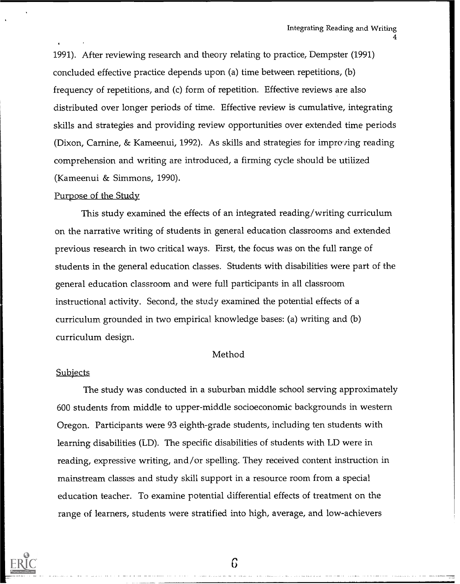1991). After reviewing research and theory relating to practice, Dempster (1991) concluded effective practice depends upon (a) time between repetitions, (b) frequency of repetitions, and (c) form of repetition. Effective reviews are also distributed over longer periods of time. Effective review is cumulative, integrating skills and strategies and providing review opportunities over extended time periods (Dixon, Carnine, & Kameenui, 1992). As skills and strategies for improving reading comprehension and writing are introduced, a firming cycle should be utilized (Kameenui & Simmons, 1990).

#### Purpose of the Study

This study examined the effects of an integrated reading/writing curriculum on the narrative writing of students in general education classrooms and extended previous research in two critical ways. First, the focus was on the full range of students in the general education classes. Students with disabilities were part of the general education classroom and were full participants in all classroom instructional activity. Second, the study examined the potential effects of a curriculum grounded in two empirical knowledge bases: (a) writing and (b) curriculum design.

#### Method

#### **Subjects**

The study was conducted in a suburban middle school serving approximately 600 students from middle to upper-middle socioeconomic backgrounds in western Oregon. Participants were 93 eighth-grade students, including ten students with learning disabilities (LD). The specific disabilities of students with LD were in reading, expressive writing, and/or spelling. They received content instruction in mainstream classes and study skill support in a resource room from a special education teacher. To examine potential differential effects of treatment on the range of learners, students were stratified into high, average, and low-achievers

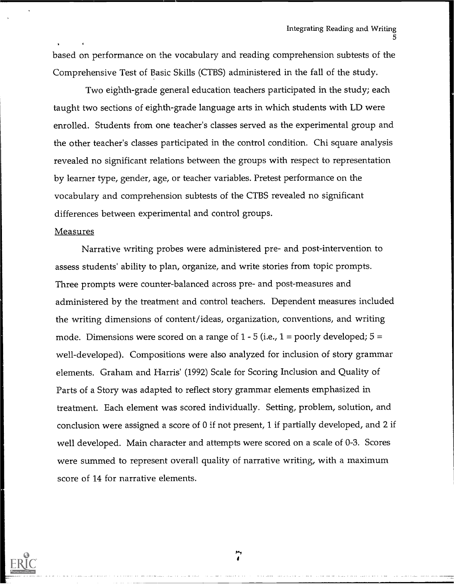based on performance on the vocabulary and reading comprehension subtests of the Comprehensive Test of Basic Skills (CTBS) administered in the fall of the study.

Two eighth-grade general education teachers participated in the study; each taught two sections of eighth-grade language arts in which students with LD were enrolled. Students from one teacher's classes served as the experimental group and the other teacher's classes participated in the control condition. Chi square analysis revealed no significant relations between the groups with respect to representation by learner type, gender, age, or teacher variables. Pretest performance on the vocabulary and comprehension subtests of the CTBS revealed no significant differences between experimental and control groups.

#### Measures

Narrative writing probes were administered pre- and post-intervention to assess students' ability to plan, organize, and write stories from topic prompts. Three prompts were counter-balanced across pre- and post-measures and administered by the treatment and control teachers. Dependent measures included the writing dimensions of content/ideas, organization, conventions, and writing mode. Dimensions were scored on a range of  $1 - 5$  (i.e.,  $1 =$  poorly developed;  $5 =$ well-developed). Compositions were also analyzed for inclusion of story grammar elements. Graham and Harris' (1992) Scale for Scoring Inclusion and Quality of Parts of a Story was adapted to reflect story grammar elements emphasized in treatment. Each element was scored individually. Setting, problem, solution, and conclusion were assigned a score of 0 if not present, 1 if partially developed, and 2 if well developed. Main character and attempts were scored on a scale of 0-3. Scores were summed to represent overall quality of narrative writing, with a maximum score of 14 for narrative elements.

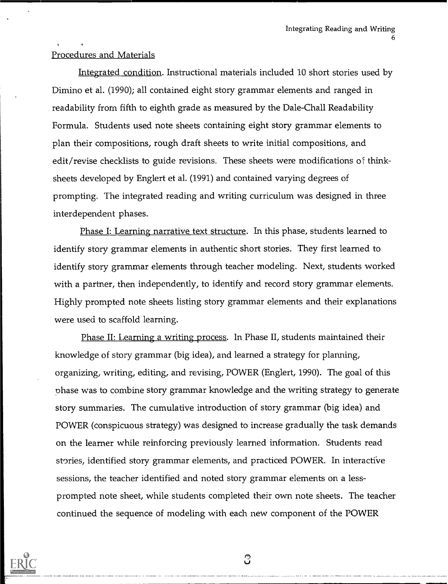#### Procedures and Materials

Integrated condition. Instructional materials included 10 short stories used by Dimino et al. (1990); all contained eight story grammar elements and ranged in readability from fifth to eighth grade as measured by the Dale-Chall Readability Formula. Students used note sheets containing eight story grammar elements to plan their compositions, rough draft sheets to write initial compositions, and edit/revise checklists to guide revisions. These sheets were modifications of thinksheets developed by Englert et al. (1991) and contained varying degrees of prompting. The integrated reading and writing curriculum was designed in three interdependent phases.

Phase I: Learning narrative text structure. In this phase, students learned to identify story grammar elements in authentic short stories. They first learned to identify story grammar elements through teacher modeling. Next, students worked with a partner, then independently, to identify and record story grammar elements. Highly prompted note sheets listing story grammar elements and their explanations were used to scaffold learning.

Phase II: Learning a writing process. In Phase II, students maintained their knowledge of story grammar (big idea), and learned a strategy for planning, organizing, writing, editing, and revising, POWER (Englert, 1990). The goal of this phase was to combine story grammar knowledge and the writing strategy to generate story summaries. The cumulative introduction of story grammar (big idea) and POWER (conspicuous strategy) was designed to increase gradually the task demands on the learner while reinforcing previously learned information. Students read stories, identified story grammar elements, and practiced POWER. In interacti've sessions, the teacher identified and noted story grammar elements on a lessprompted note sheet, while students completed their own note sheets. The teacher continued the sequence of modeling with each new component of the POWER



ි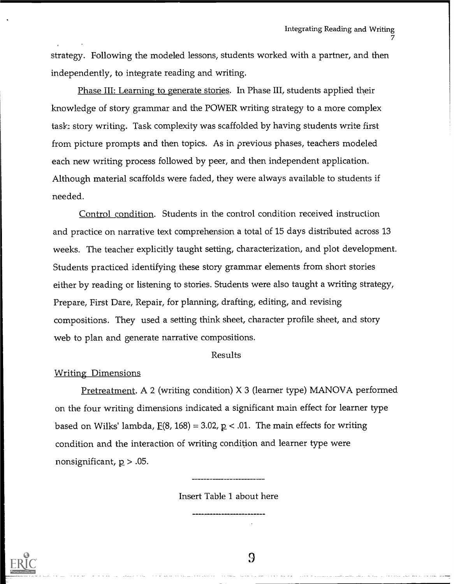strategy. Following the modeled lessons, students worked with a partner, and then independently, to integrate reading and writing.

Phase III: Learning to generate stories. In Phase III, students applied their knowledge of story grammar and the POWER writing strategy to a more complex task: story writing. Task complexity was scaffolded by having students write first from picture prompts and then topics. As in previous phases, teachers modeled each new writing process followed by peer, and then independent application. Although material scaffolds were faded, they were always available to students if needed.

Control condition. Students in the control condition received instruction and practice on narrative text comprehension a total of 15 days distributed across 13 weeks. The teacher explicitly taught setting, characterization, and plot development. Students practiced identifying these story grammar elements from short stories either by reading or listening to stories. Students were also taught a writing strategy, Prepare, First Dare, Repair, for planning, drafting, editing, and revising compositions. They used a setting think sheet, character profile sheet, and story web to plan and generate narrative compositions.

#### Results

#### Writing Dimensions

Pretreatment. A 2 (writing condition) X 3 (learner type) MANOVA performed on the four writing dimensions indicated a significant main effect for learner type based on Wilks' lambda,  $E(8, 168) = 3.02$ ,  $p < .01$ . The main effects for writing condition and the interaction of writing condition and learner type were nonsignificant,  $p > .05$ .

Insert Table 1 about here



9

ستداعيه سالمت المتعاديات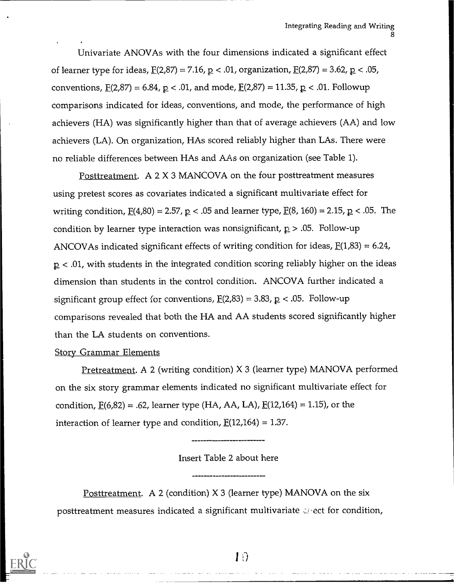Univariate ANOVAs with the four dimensions indicated a significant effect of learner type for ideas,  $\underline{F}(2,87) = 7.16$ ,  $\underline{p} < .01$ , organization,  $\underline{F}(2,87) = 3.62$ ,  $\underline{p} < .05$ , conventions,  $E(2,87) = 6.84$ ,  $p < .01$ , and mode,  $E(2,87) = 11.35$ ,  $p < .01$ . Followup comparisons indicated for ideas, conventions, and mode, the performance of high achievers (HA) was significantly higher than that of average achievers (AA) and low achievers (LA). On organization, HAs scored reliably higher than LAs. There were no reliable differences between HAs and AAs on organization (see Table 1).

Posttreatment. A 2 X 3 MANCOVA on the four posttreatment measures using pretest scores as covariates indicated a significant multivariate effect for writing condition,  $E(4,80) = 2.57$ ,  $p < .05$  and learner type,  $E(8, 160) = 2.15$ ,  $p < .05$ . The condition by learner type interaction was nonsignificant,  $p > .05$ . Follow-up ANCOVAs indicated significant effects of writing condition for ideas,  $E(1,83) = 6.24$ ,  $p < .01$ , with students in the integrated condition scoring reliably higher on the ideas dimension than students in the control condition. ANCOVA further indicated a significant group effect for conventions,  $E(2,83) = 3.83$ ,  $p < .05$ . Follow-up comparisons revealed that both the HA and AA students scored significantly higher than the LA students on conventions.

#### Story Grammar Elements

Pretreatment. A 2 (writing condition) X 3 (learner type) MANOVA performed on the six story grammar elements indicated no significant multivariate effect for condition,  $\underline{F}(6,82) = .62$ , learner type (HA, AA, LA),  $\underline{F}(12,164) = 1.15$ ), or the interaction of learner type and condition,  $E(12,164) = 1.37$ .

#### Insert Table 2 about here

Posttreatment. A 2 (condition) X 3 (learner type) MANOVA on the six posttreatment measures indicated a significant multivariate  $\omega$  ect for condition,

والمدامسة ومعاونا والمداوية

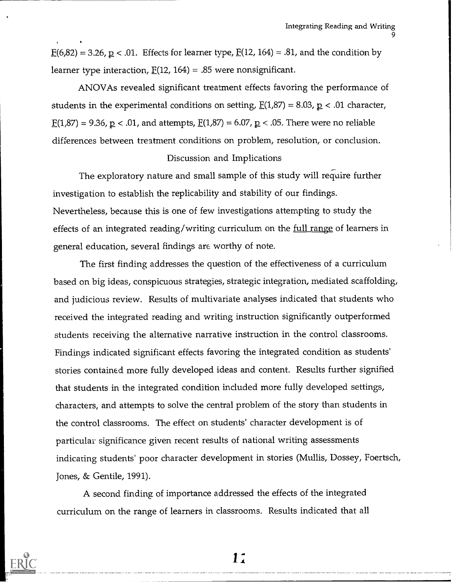$E(6,82) = 3.26$ ,  $p < .01$ . Effects for learner type,  $E(12, 164) = .81$ , and the condition by learner type interaction,  $E(12, 164) = .85$  were nonsignificant.

ANOVAs revealed significant treatment effects favoring the performance of students in the experimental conditions on setting,  $E(1,87) = 8.03$ ,  $p < 0.01$  character,  $E(1,87) = 9.36$ ,  $p < .01$ , and attempts,  $E(1,87) = 6.07$ ,  $p < .05$ . There were no reliable differences between treatment conditions on problem, resolution, or conclusion.

#### Discussion and Implications

The exploratory nature and small sample of this study will require further investigation to establish the replicability and stability of our findings. Nevertheless, because this is one of few investigations attempting to study the effects of an integrated reading/writing curriculum on the full range of learners in general education, several findings are worthy of note.

The first finding addresses the question of the effectiveness of a curriculum based on big ideas, conspicuous strategies, strategic integration, mediated scaffolding, and judicious review. Results of multivariate analyses indicated that students who received the integrated reading and writing instruction significantly outperformed students receiving the alternative narrative instruction in the control classrooms. Findings indicated significant effects favoring the integrated condition as students' stories contained more fully developed ideas and content. Results further signified that students in the integrated condition included more fully developed settings, characters, and attempts to solve the central problem of the story than students in the control classrooms. The effect on students' character development is of particular significance given recent results of national writing assessments indicating students' poor character development in stories (Mullis, Dossey, Foertsch, Jones, & Gentile, 1991).

A second finding of importance addressed the effects of the integrated curriculum on the range of learners in classrooms. Results indicated that all

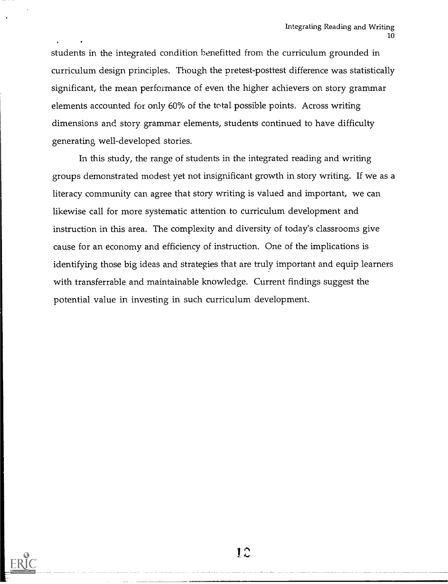students in the integrated condition benefitted from the curriculum grounded in curriculum design principles. Though the pretest-posttest difference was statistically significant, the mean performance of even the higher achievers on story grammar elements accounted for only 60% of the total possible points. Across writing dimensions and story grammar elements, students continued to have difficulty generating well-developed stories.

In this study, the range of students in the integrated reading and writing groups demonstrated modest yet not insignificant growth in story writing. If we as a literacy community can agree that story writing is valued and important, we can likewise call for more systematic attention to curriculum development and instruction in this area. The complexity and diversity of today's classrooms give cause for an economy and efficiency of instruction. One of the implications is identifying those big ideas and strategies that are truly important and equip learners with transferrable and maintainable knowledge. Current findings suggest the potential value in investing in such curriculum development.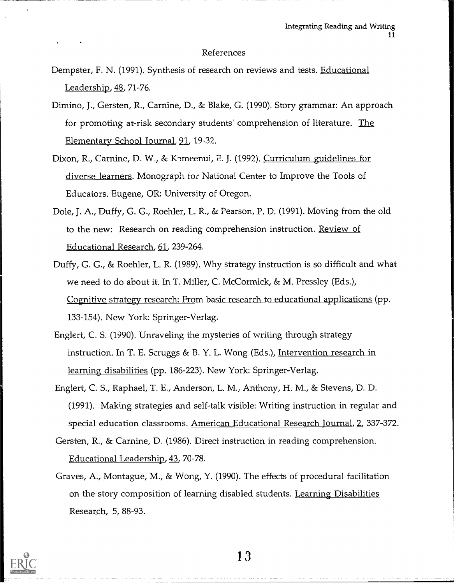#### References

- Dempster, F. N. (1991). Synthesis of research on reviews and tests. Educational Leadership, 48, 71-76.
- Dimino, J., Gersten, R., Carnine, D., & Blake, G. (1990). Story grammar: An approach for promoting at-risk secondary students' comprehension of literature. The Elementary School Journal, 91, 19-32.
- Dixon, R., Carnine, D. W., & Kameenui, E. J. (1992). Curriculum guidelines for diverse learners. Monograph for National Center to Improve the Tools of Educators. Eugene, OR: University of Oregon.
- Dole, J. A., Duffy, G. G., Roehler, L. R., & Pearson, P. D. (1991). Moving from the old to the new: Research on reading comprehension instruction. Review of Educational Research, 61, 239-264.
- Duffy, G. G., & Roehler, L. R. (1989). Why strategy instruction is so difficult and what we need to do about it. In T. Miller, C. McCormick, & M. Pressley (Eds.), Cognitive strategy research: From basic research to educational applications (pp. 133-154). New York: Springer-Verlag.
- Englert, C. S. (1990). Unraveling the mysteries of writing through strategy instruction. In T. E. Scruggs & B. Y. L. Wong (Eds.), Intervention research in learning disabilities (pp. 186-223). New York: Springer-Verlag.
- Englert, C. S., Raphael, T. E., Anderson, L. M., Anthony, H. M., & Stevens, D. D. (1991). Making strategies and self-talk visible: Writing instruction in regular and special education classrooms. American Educational Research Journal, 2, 337-372.
- Gersten, R., & Carnine, D. (1986). Direct instruction in reading comprehension. Educational Leadership, 43, 70-78.
- Graves, A., Montague, M., & Wong, Y. (1990). The effects of procedural facilitation on the story composition of learning disabled students. Learning Disabilities Research, 5, 88-93.

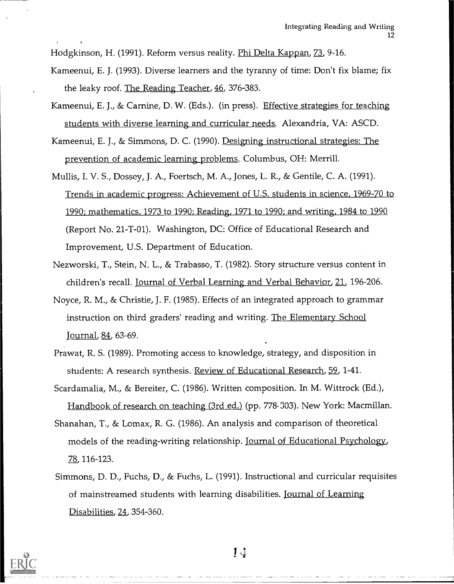Hodgkinson, H. (1991). Reform versus reality. Phi Delta Kappan, 73, 9-16.

- Kameenui, E. J. (1993). Diverse learners and the tyranny of time: Don't fix blame; fix the leaky roof. The Reading Teacher, 46, 376-383.
- Kameenui, E. J., & Carnine, D. W. (Eds.). (in press). Effective strategies for teaching students with diverse learning and curricular needs. Alexandria, VA: ASCD.
- Kameenui, E. J., & Simmons, D. C. (1990). Designing instructional strategies: The prevention of academic learning problems. Columbus, OH: Merrill.
- Mullis, I. V. S., Dossey, J. A., Foertsch, M. A., Jones, L. R., & Gentile, C. A. (1991). Trends in academic progress: Achievement of U.S. students in science, 1969-70 to 1990; mathematics, 1973 to 1990; Reading, 1971 to 1990; and writing, 1984 to 1990 (Report No. 21-T-01). Washington, DC: Office of Educational Research and Improvement, U.S. Department of Education.
- Nezworski, T., Stein, N. L., & Trabasso, T. (1982). Story structure versus content in children's recall. Journal of Verbal Learning and Verbal Behavior, 21, 196-206.
- Noyce, R. M., & Christie, J. F. (1985). Effects of an integrated approach to grammar instruction on third graders' reading and writing. The Elementary School Journal, 81 63-69.
- Prawat, R. S. (1989). Promoting access to knowledge, strategy, and disposition in students: A research synthesis. Review of Educational Research, 59, 1-41.
- Scardamalia, M., & Bereiter, C. (1986). Written composition. In M. Wittrock (Ed.), Handbook of research on teaching (3rd ed.) (pp. 778- 303). New York: Macmillan.
- Shanahan, T., & Lomax, R. G. (1986). An analysis and comparison of theoretical models of the reading-writing relationship. Journal of Educational Psychology, 78, 116-123.
- Simmons, D. D., Fuchs, D., & Fuchs, L. (1991). Instructional and curricular requisites of mainstreamed students with learning disabilities. Journal of Learning Disabilities, 24, 354-360.

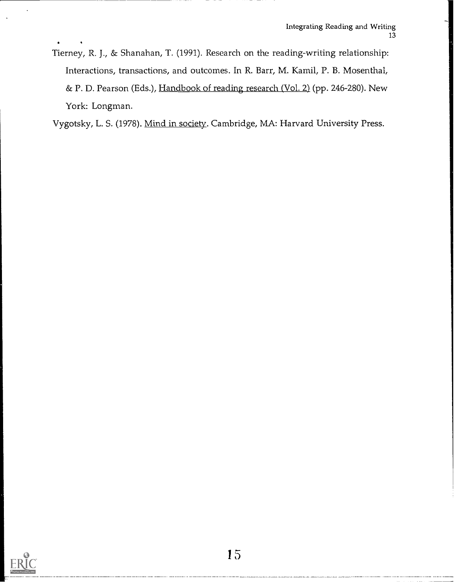Tierney, R. J., & Shanahan, T. (1991). Research on the reading-writing relationship: Interactions, transactions, and outcomes. In R. Barr, M. Kamil, P. B. Mosenthal, & P. D. Pearson (Eds.), Handbook of reading research (Vol. 2) (pp. 246-280). New York: Longman.

Vygotsky, L. S. (1978). Mind in society. Cambridge, MA: Harvard University Press.

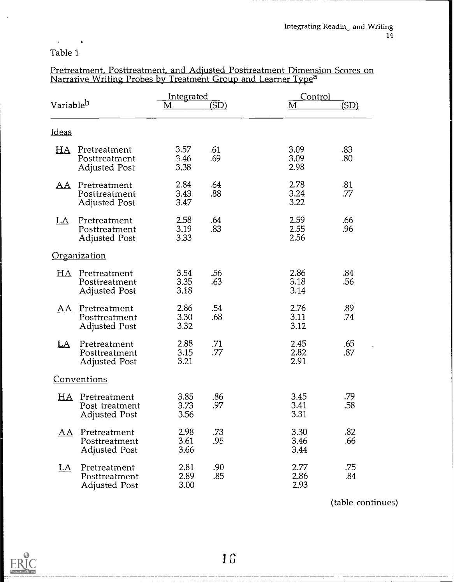#### $\mathbf{r}$ Table 1

 $\hat{\bullet}$ 

| Variable <sup>b</sup> |                                                        | <u>Integrated</u><br>M | (SD)       | Control<br>M         | (SD)       |
|-----------------------|--------------------------------------------------------|------------------------|------------|----------------------|------------|
| <b>Ideas</b>          |                                                        |                        |            |                      |            |
| HA                    | Pretreatment<br>Posttreatment<br><b>Adjusted Post</b>  | 3.57<br>3.46<br>3.38   | .61<br>.69 | 3.09<br>3.09<br>2.98 | .83<br>.80 |
| <u>AA</u>             | Pretreatment<br>Posttreatment<br>Adjusted Post         | 2.84<br>3.43<br>3.47   | .64<br>.88 | 2.78<br>3.24<br>3.22 | .81<br>.77 |
| <u>LA</u>             | Pretreatment<br>Posttreatment<br>Adjusted Post         | 2.58<br>3.19<br>3.33   | .64<br>.83 | 2.59<br>2.55<br>2.56 | .66<br>.96 |
|                       | Organization                                           |                        |            |                      |            |
| HA.                   | Pretreatment<br>Posttreatment<br><b>Adjusted Post</b>  | 3.54<br>3.35<br>3.18   | .56<br>.63 | 2.86<br>3.18<br>3.14 | .84<br>.56 |
| AA                    | Pretreatment<br>Posttreatment<br><b>Adjusted Post</b>  | 2.86<br>3.30<br>3.32   | .54<br>.68 | 2.76<br>3.11<br>3.12 | .89<br>.74 |
| <u>LA</u>             | Pretreatment<br>Posttreatment<br><b>Adjusted Post</b>  | 2.88<br>3.15<br>3.21   | .71<br>.77 | 2.45<br>2.82<br>2.91 | .65<br>.87 |
|                       | <u>Conventions</u>                                     |                        |            |                      |            |
| HA                    | Pretreatment<br>Post treatment<br><b>Adjusted Post</b> | 3.85<br>3.73<br>3.56   | .86<br>.97 | 3.45<br>3.41<br>3.31 | .79<br>.58 |
| A A                   | Pretreatment<br>Posttreatment<br><b>Adjusted Post</b>  | 2.98<br>3.61<br>3.66   | .73<br>.95 | 3.30<br>3.46<br>3.44 | .82<br>.66 |
| <u>LA</u>             | Pretreatment<br>Posttreatment<br><b>Adjusted Post</b>  | 2.81<br>2.89<br>3.00   | .90<br>.85 | 2.77<br>2.86<br>2.93 | .75<br>.84 |

Pretreatment, Posttreatment, and Adjusted Posttreatment Dimension Scores on Narrative Writing Probes by Treatment Group and Learner Type<sup>a</sup>

(table continues)

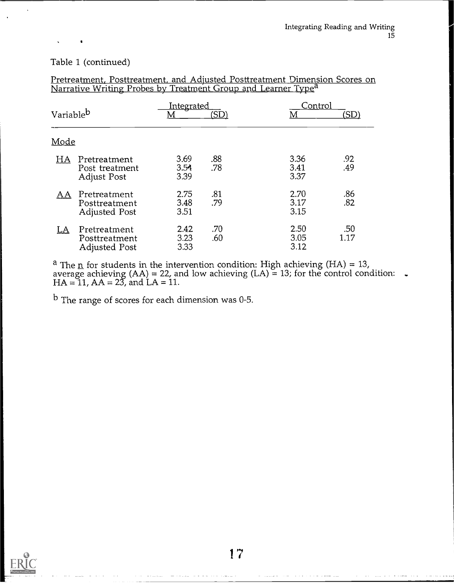#### Table 1 (continued)

| Variable <sup>b</sup> |                                                       | <b>Integrated</b><br>M | 'SD        | Control<br>M         | (SD)        |  |
|-----------------------|-------------------------------------------------------|------------------------|------------|----------------------|-------------|--|
| Mode                  |                                                       |                        |            |                      |             |  |
| HA                    | Pretreatment<br>Post treatment<br><b>Adjust Post</b>  | 3.69<br>3.54<br>3.39   | .88<br>.78 | 3.36<br>3.41<br>3.37 | .92<br>.49  |  |
| <u>AΑ</u>             | Pretreatment<br>Posttreatment<br><b>Adjusted Post</b> | 2.75<br>3.48<br>3.51   | .81<br>.79 | 2.70<br>3.17<br>3.15 | .86<br>.82  |  |
| LA                    | Pretreatment<br>Posttreatment<br><b>Adjusted Post</b> | 2.42<br>3.23<br>3.33   | .70<br>.60 | 2.50<br>3.05<br>3.12 | .50<br>1.17 |  |

Pretreatment, Posttreatment, and Adjusted Posttreatment Dimension Scores on Narrative Writing Probes by Treatment Group and Learner Type<sup>a</sup>

<sup>a</sup> The <u>n</u> for students in the intervention condition: High achieving (HA) = 13,<br>average achieving (AA) = 22, and low achieving (LA) = 13; for the control condition: .  $HA = 11$ ,  $AA = 23$ , and  $LA = 11$ .

b The range of scores for each dimension was 0-5.

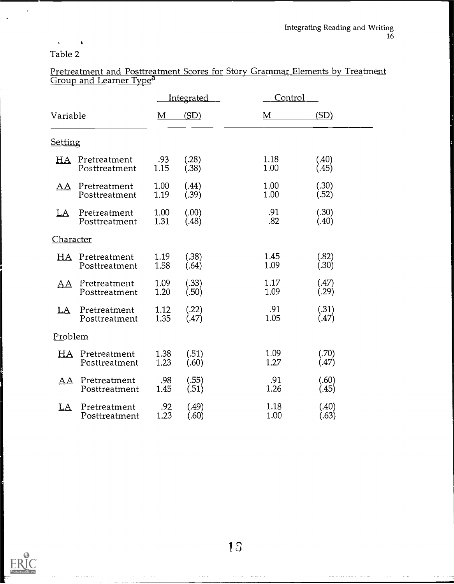#### $\sqrt{2}$  and  $\sqrt{2}$ Table 2

 $\bullet$ 

|                  |                               | <u>Integrated</u> |                |  | Control      |                |  |
|------------------|-------------------------------|-------------------|----------------|--|--------------|----------------|--|
| Variable         |                               | M                 | (SD)           |  | M            | (SD)           |  |
| <b>Setting</b>   |                               |                   |                |  |              |                |  |
| HA               | Pretreatment<br>Posttreatment | .93<br>1.15       | (.28)<br>(.38) |  | 1.18<br>1.00 | (.40)<br>(.45) |  |
| ΑA               | Pretreatment<br>Posttreatment | 1.00<br>1.19      | (.44)<br>(.39) |  | 1.00<br>1.00 | (.30)<br>(.52) |  |
| <u>LA</u>        | Pretreatment<br>Posttreatment | 1.00<br>1.31      | (.00)<br>(.48) |  | .91<br>.82   | (.30)<br>(.40) |  |
| <u>Character</u> |                               |                   |                |  |              |                |  |
| HA               | Pretreatment<br>Posttreatment | 1.19<br>1.58      | (.38)<br>(.64) |  | 1.45<br>1.09 | (.82)<br>(.30) |  |
| AΑ               | Pretreatment<br>Posttreatment | 1.09<br>1.20      | (.33)<br>(.50) |  | 1.17<br>1.09 | (.47)<br>(.29) |  |
| LA               | Pretreatment<br>Posttreatment | 1.12<br>1.35      | (.22)<br>(.47) |  | .91<br>1.05  | (.31)<br>(.47) |  |
|                  | Problem                       |                   |                |  |              |                |  |
| HA               | Pretreatment<br>Posttreatment | 1.38<br>1.23      | (.51)<br>(.60) |  | 1.09<br>1.27 | (.70)<br>(.47) |  |
| AĄ.              | Pretreatment<br>Posttreatment | .98<br>1.45       | (.55)<br>(.51) |  | .91<br>1.26  | (.60)<br>(.45) |  |
| LA               | Pretreatment<br>Posttreatment | .92<br>1.23       | (.49)<br>(.60) |  | 1.18<br>1.00 | (.40)<br>(.63) |  |

# Pretreatment and Posttreatment Scores for Story Grammar Elements by Treatment Group and Learner Type<sup>a</sup>